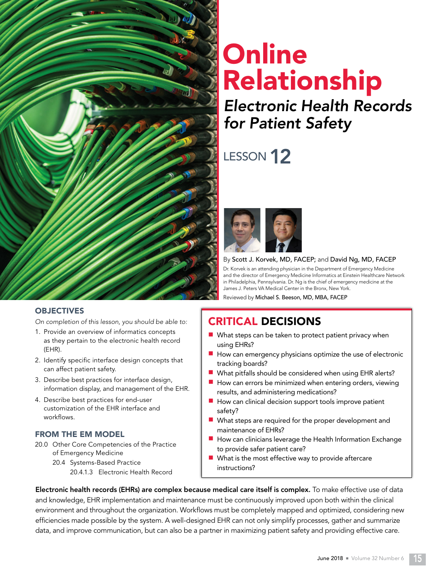

# **Online** Relationship

## Electronic Health Records for Patient Safety

## LESSON 12



#### By Scott J. Korvek, MD, FACEP; and David Ng, MD, FACEP

Dr. Korvek is an attending physician in the Department of Emergency Medicine and the director of Emergency Medicine Informatics at Einstein Healthcare Network in Philadelphia, Pennsylvania. Dr. Ng is the chief of emergency medicine at the James J. Peters VA Medical Center in the Bronx, New York.

Reviewed by Michael S. Beeson, MD, MBA, FACEP

### CRITICAL DECISIONS

- $\blacksquare$  What steps can be taken to protect patient privacy when using EHRs?
- $\blacksquare$  How can emergency physicians optimize the use of electronic tracking boards?
- $\blacksquare$  What pitfalls should be considered when using EHR alerts?
- $\blacksquare$  How can errors be minimized when entering orders, viewing results, and administering medications?
- $\blacksquare$  How can clinical decision support tools improve patient safety?
- $\blacksquare$  What steps are required for the proper development and maintenance of EHRs?
- How can clinicians leverage the Health Information Exchange to provide safer patient care?
- $\blacksquare$  What is the most effective way to provide aftercare instructions?

Electronic health records (EHRs) are complex because medical care itself is complex. To make effective use of data and knowledge, EHR implementation and maintenance must be continuously improved upon both within the clinical environment and throughout the organization. Workflows must be completely mapped and optimized, considering new efficiencies made possible by the system. A well-designed EHR can not only simplify processes, gather and summarize data, and improve communication, but can also be a partner in maximizing patient safety and providing effective care.

#### **OBJECTIVES**

On completion of this lesson, you should be able to:

- 1. Provide an overview of informatics concepts as they pertain to the electronic health record (EHR).
- 2. Identify specific interface design concepts that can affect patient safety.
- 3. Describe best practices for interface design, information display, and management of the EHR.
- 4. Describe best practices for end-user customization of the EHR interface and workflows.

#### FROM THE EM MODEL

- 20.0 Other Core Competencies of the Practice of Emergency Medicine
	- 20.4 Systems-Based Practice 20.4.1.3 Electronic Health Record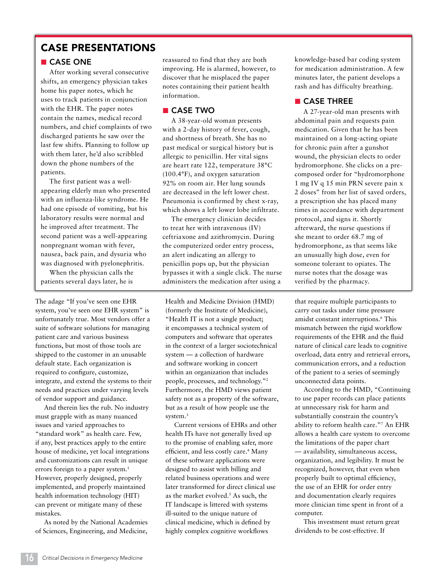#### CASE PRESENTATIONS

#### ■ CASE ONE

After working several consecutive shifts, an emergency physician takes home his paper notes, which he uses to track patients in conjunction with the EHR. The paper notes contain the names, medical record numbers, and chief complaints of two discharged patients he saw over the last few shifts. Planning to follow up with them later, he'd also scribbled down the phone numbers of the patients.

The first patient was a wellappearing elderly man who presented with an influenza-like syndrome. He had one episode of vomiting, but his laboratory results were normal and he improved after treatment. The second patient was a well-appearing nonpregnant woman with fever, nausea, back pain, and dysuria who was diagnosed with pyelonephritis.

When the physician calls the patients several days later, he is

The adage "If you've seen one EHR system, you've seen one EHR system" is unfortunately true. Most vendors offer a suite of software solutions for managing patient care and various business functions, but most of those tools are shipped to the customer in an unusable default state. Each organization is required to configure, customize, integrate, and extend the systems to their needs and practices under varying levels of vendor support and guidance.

And therein lies the rub. No industry must grapple with as many nuanced issues and varied approaches to "standard work" as health care. Few, if any, best practices apply to the entire house of medicine, yet local integrations and customizations can result in unique errors foreign to a paper system.<sup>1</sup> However, properly designed, properly implemented, and properly maintained health information technology (HIT) can prevent or mitigate many of these mistakes.

As noted by the National Academies of Sciences, Engineering, and Medicine,

reassured to find that they are both improving. He is alarmed, however, to discover that he misplaced the paper notes containing their patient health information.

#### ■ CASE TWO

A 38-year-old woman presents with a 2-day history of fever, cough, and shortness of breath. She has no past medical or surgical history but is allergic to penicillin. Her vital signs are heart rate 122, temperature 38°C (100.4°F), and oxygen saturation 92% on room air. Her lung sounds are decreased in the left lower chest. Pneumonia is confirmed by chest x-ray, which shows a left lower lobe infiltrate.

The emergency clinician decides to treat her with intravenous (IV) ceftriaxone and azithromycin. During the computerized order entry process, an alert indicating an allergy to penicillin pops up, but the physician bypasses it with a single click. The nurse administers the medication after using a

Health and Medicine Division (HMD) (formerly the Institute of Medicine), "Health IT is not a single product; it encompasses a technical system of computers and software that operates in the context of a larger sociotechnical system — a collection of hardware and software working in concert within an organization that includes people, processes, and technology."2 Furthermore, the HMD views patient safety not as a property of the software, but as a result of how people use the system.<sup>3</sup>

Current versions of EHRs and other health ITs have not generally lived up to the promise of enabling safer, more efficient, and less costly care.<sup>4</sup> Many of these software applications were designed to assist with billing and related business operations and were later transformed for direct clinical use as the market evolved.<sup>5</sup> As such, the IT landscape is littered with systems ill-suited to the unique nature of clinical medicine, which is defined by highly complex cognitive workflows

knowledge-based bar coding system for medication administration. A few minutes later, the patient develops a rash and has difficulty breathing.

#### ■ CASE THREE

A 27-year-old man presents with abdominal pain and requests pain medication. Given that he has been maintained on a long-acting opiate for chronic pain after a gunshot wound, the physician elects to order hydromorphone. She clicks on a precomposed order for "hydromorphone 1 mg IV q 15 min PRN severe pain x 2 doses" from her list of saved orders, a prescription she has placed many times in accordance with department protocol, and signs it. Shortly afterward, the nurse questions if she meant to order 68.7 mg of hydromorphone, as that seems like an unusually high dose, even for someone tolerant to opiates. The nurse notes that the dosage was verified by the pharmacy.

that require multiple participants to carry out tasks under time pressure amidst constant interruptions.<sup>6</sup> This mismatch between the rigid workflow requirements of the EHR and the fluid nature of clinical care leads to cognitive overload, data entry and retrieval errors, communication errors, and a reduction of the patient to a series of seemingly unconnected data points.

According to the HMD, "Continuing to use paper records can place patients at unnecessary risk for harm and substantially constrain the country's ability to reform health care."7 An EHR allows a health care system to overcome the limitations of the paper chart — availability, simultaneous access, organization, and legibility. It must be recognized, however, that even when properly built to optimal efficiency, the use of an EHR for order entry and documentation clearly requires more clinician time spent in front of a computer.

This investment must return great dividends to be cost-effective. If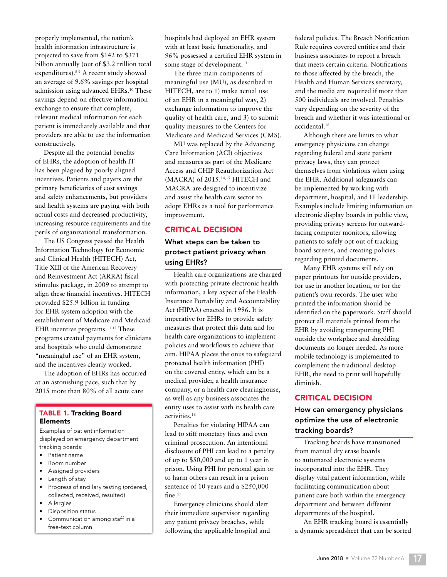properly implemented, the nation's health information infrastructure is projected to save from \$142 to \$371 billion annually (out of \$3.2 trillion total expenditures).8,9 A recent study showed an average of 9.6% savings per hospital admission using advanced EHRs.10 These savings depend on effective information exchange to ensure that complete, relevant medical information for each patient is immediately available and that providers are able to use the information constructively.

Despite all the potential benefits of EHRs, the adoption of health IT has been plagued by poorly aligned incentives. Patients and payers are the primary beneficiaries of cost savings and safety enhancements, but providers and health systems are paying with both actual costs and decreased productivity, increasing resource requirements and the perils of organizational transformation.

The US Congress passed the Health Information Technology for Economic and Clinical Health (HITECH) Act, Title XIII of the American Recovery and Reinvestment Act (ARRA) fiscal stimulus package, in 2009 to attempt to align these financial incentives. HITECH provided \$25.9 billion in funding for EHR system adoption with the establishment of Medicare and Medicaid EHR incentive programs.<sup>11,12</sup> These programs created payments for clinicians and hospitals who could demonstrate "meaningful use" of an EHR system, and the incentives clearly worked.

The adoption of EHRs has occurred at an astonishing pace, such that by 2015 more than 80% of all acute care

#### TABLE 1. Tracking Board Elements

Examples of patient information displayed on emergency department tracking boards:

- Patient name
- Room number
- Assigned providers
- Length of stay
- Progress of ancillary testing (ordered, collected, received, resulted)
- **Allergies**
- Disposition status
- Communication among staff in a free-text column

hospitals had deployed an EHR system with at least basic functionality, and 96% possessed a certified EHR system in some stage of development.<sup>13</sup>

The three main components of meaningful use (MU), as described in HITECH, are to 1) make actual use of an EHR in a meaningful way, 2) exchange information to improve the quality of health care, and 3) to submit quality measures to the Centers for Medicare and Medicaid Services (CMS).

MU was replaced by the Advancing Care Information (ACI) objectives and measures as part of the Medicare Access and CHIP Reauthorization Act (MACRA) of 2015.14,15 HITECH and MACRA are designed to incentivize and assist the health care sector to adopt EHRs as a tool for performance improvement.

#### CRITICAL DECISION

#### What steps can be taken to protect patient privacy when using EHRs?

Health care organizations are charged with protecting private electronic health information, a key aspect of the Health Insurance Portability and Accountability Act (HIPAA) enacted in 1996. It is imperative for EHRs to provide safety measures that protect this data and for health care organizations to implement policies and workflows to achieve that aim. HIPAA places the onus to safeguard protected health information (PHI) on the covered entity, which can be a medical provider, a health insurance company, or a health care clearinghouse, as well as any business associates the entity uses to assist with its health care activities.16

Penalties for violating HIPAA can lead to stiff monetary fines and even criminal prosecution. An intentional disclosure of PHI can lead to a penalty of up to \$50,000 and up to 1 year in prison. Using PHI for personal gain or to harm others can result in a prison sentence of 10 years and a \$250,000 fine.<sup>17</sup>

Emergency clinicians should alert their immediate supervisor regarding any patient privacy breaches, while following the applicable hospital and federal policies. The Breach Notification Rule requires covered entities and their business associates to report a breach that meets certain criteria. Notifications to those affected by the breach, the Health and Human Services secretary, and the media are required if more than 500 individuals are involved. Penalties vary depending on the severity of the breach and whether it was intentional or accidental.18

Although there are limits to what emergency physicians can change regarding federal and state patient privacy laws, they can protect themselves from violations when using the EHR. Additional safeguards can be implemented by working with department, hospital, and IT leadership. Examples include limiting information on electronic display boards in public view, providing privacy screens for outwardfacing computer monitors, allowing patients to safely opt out of tracking board screens, and creating policies regarding printed documents.

Many EHR systems still rely on paper printouts for outside providers, for use in another location, or for the patient's own records. The user who printed the information should be identified on the paperwork. Staff should protect all materials printed from the EHR by avoiding transporting PHI outside the workplace and shredding documents no longer needed. As more mobile technology is implemented to complement the traditional desktop EHR, the need to print will hopefully diminish.

#### CRITICAL DECISION

#### How can emergency physicians optimize the use of electronic tracking boards?

Tracking boards have transitioned from manual dry erase boards to automated electronic systems incorporated into the EHR. They display vital patient information, while facilitating communication about patient care both within the emergency department and between different departments of the hospital.

An EHR tracking board is essentially a dynamic spreadsheet that can be sorted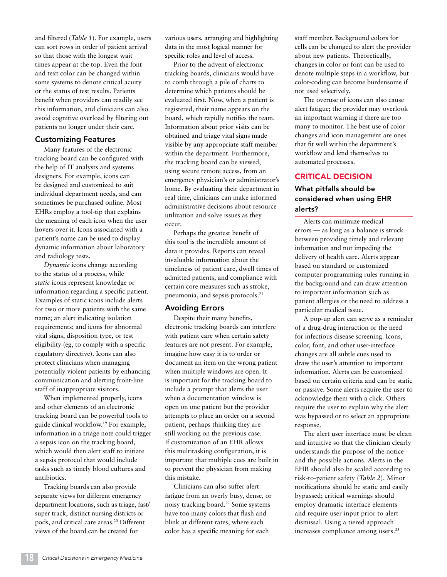and filtered (*Table 1*). For example, users can sort rows in order of patient arrival so that those with the longest wait times appear at the top. Even the font and text color can be changed within some systems to denote critical acuity or the status of test results. Patients benefit when providers can readily see this information, and clinicians can also avoid cognitive overload by filtering out patients no longer under their care.

#### Customizing Features

Many features of the electronic tracking board can be configured with the help of IT analysts and systems designers. For example, icons can be designed and customized to suit individual department needs, and can sometimes be purchased online. Most EHRs employ a tool-tip that explains the meaning of each icon when the user hovers over it. Icons associated with a patient's name can be used to display dynamic information about laboratory and radiology tests.

*Dynamic* icons change according to the status of a process, while *static* icons represent knowledge or information regarding a specific patient. Examples of static icons include alerts for two or more patients with the same name; an alert indicating isolation requirements; and icons for abnormal vital signs, disposition type, or test eligibility (eg, to comply with a specific regulatory directive). Icons can also protect clinicians when managing potentially violent patients by enhancing communication and alerting front-line staff of inappropriate visitors.

When implemented properly, icons and other elements of an electronic tracking board can be powerful tools to guide clinical workflow.19 For example, information in a triage note could trigger a sepsis icon on the tracking board, which would then alert staff to initiate a sepsis protocol that would include tasks such as timely blood cultures and antibiotics.

Tracking boards can also provide separate views for different emergency department locations, such as triage, fast/ super track, distinct nursing districts or pods, and critical care areas.<sup>20</sup> Different views of the board can be created for

various users, arranging and highlighting data in the most logical manner for specific roles and level of access.

Prior to the advent of electronic tracking boards, clinicians would have to comb through a pile of charts to determine which patients should be evaluated first. Now, when a patient is registered, their name appears on the board, which rapidly notifies the team. Information about prior visits can be obtained and triage vital signs made visible by any appropriate staff member within the department. Furthermore, the tracking board can be viewed, using secure remote access, from an emergency physician's or administrator's home. By evaluating their department in real time, clinicians can make informed administrative decisions about resource utilization and solve issues as they occur.

Perhaps the greatest benefit of this tool is the incredible amount of data it provides. Reports can reveal invaluable information about the timeliness of patient care, dwell times of admitted patients, and compliance with certain core measures such as stroke, pneumonia, and sepsis protocols.21

#### Avoiding Errors

Despite their many benefits, electronic tracking boards can interfere with patient care when certain safety features are not present. For example, imagine how easy it is to order or document an item on the wrong patient when multiple windows are open. It is important for the tracking board to include a prompt that alerts the user when a documentation window is open on one patient but the provider attempts to place an order on a second patient, perhaps thinking they are still working on the previous case. If customization of an EHR allows this multitasking configuration, it is important that multiple cues are built in to prevent the physician from making this mistake.

Clinicians can also suffer alert fatigue from an overly busy, dense, or noisy tracking board.22 Some systems have too many colors that flash and blink at different rates, where each color has a specific meaning for each

staff member. Background colors for cells can be changed to alert the provider about new patients. Theoretically, changes in color or font can be used to denote multiple steps in a workflow, but color-coding can become burdensome if not used selectively.

The overuse of icons can also cause alert fatigue; the provider may overlook an important warning if there are too many to monitor. The best use of color changes and icon management are ones that fit well within the department's workflow and lend themselves to automated processes.

#### CRITICAL DECISION

#### What pitfalls should be considered when using EHR alerts?

Alerts can minimize medical errors — as long as a balance is struck between providing timely and relevant information and not impeding the delivery of health care. Alerts appear based on standard or customized computer programming rules running in the background and can draw attention to important information such as patient allergies or the need to address a particular medical issue.

A pop-up alert can serve as a reminder of a drug-drug interaction or the need for infectious disease screening. Icons, color, font, and other user-interface changes are all subtle cues used to draw the user's attention to important information. Alerts can be customized based on certain criteria and can be static or passive. Some alerts require the user to acknowledge them with a click. Others require the user to explain why the alert was bypassed or to select an appropriate response.

The alert user interface must be clean and intuitive so that the clinician clearly understands the purpose of the notice and the possible actions. Alerts in the EHR should also be scaled according to risk-to-patient safety (*Table 2*). Minor notifications should be static and easily bypassed; critical warnings should employ dramatic interface elements and require user input prior to alert dismissal. Using a tiered approach increases compliance among users.<sup>23</sup>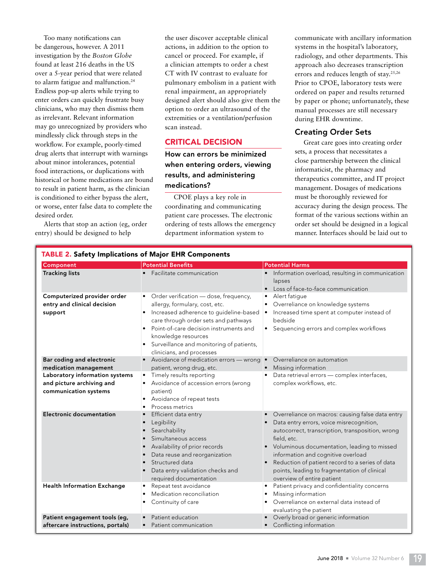Too many notifications can be dangerous, however. A 2011 investigation by the *Boston Globe* found at least 216 deaths in the US over a 5-year period that were related to alarm fatigue and malfunction.<sup>24</sup> Endless pop-up alerts while trying to enter orders can quickly frustrate busy clinicians, who may then dismiss them as irrelevant. Relevant information may go unrecognized by providers who mindlessly click through steps in the workflow. For example, poorly-timed drug alerts that interrupt with warnings about minor intolerances, potential food interactions, or duplications with historical or home medications are bound to result in patient harm, as the clinician is conditioned to either bypass the alert, or worse, enter false data to complete the desired order.

Alerts that stop an action (eg, order entry) should be designed to help

the user discover acceptable clinical actions, in addition to the option to cancel or proceed. For example, if a clinician attempts to order a chest CT with IV contrast to evaluate for pulmonary embolism in a patient with renal impairment, an appropriately designed alert should also give them the option to order an ultrasound of the extremities or a ventilation/perfusion scan instead.

#### CRITICAL DECISION

How can errors be minimized when entering orders, viewing results, and administering medications?

CPOE plays a key role in coordinating and communicating patient care processes. The electronic ordering of tests allows the emergency department information system to

communicate with ancillary information systems in the hospital's laboratory, radiology, and other departments. This approach also decreases transcription errors and reduces length of stay.25,26 Prior to CPOE, laboratory tests were ordered on paper and results returned by paper or phone; unfortunately, these manual processes are still necessary during EHR downtime.

#### Creating Order Sets

Great care goes into creating order sets, a process that necessitates a close partnership between the clinical informaticist, the pharmacy and therapeutics committee, and IT project management. Dosages of medications must be thoroughly reviewed for accuracy during the design process. The format of the various sections within an order set should be designed in a logical manner. Interfaces should be laid out to

| Component                                                                                                                                  | <b>Potential Benefits</b>                                                                                                                                                                                                                                                                                          | <b>Potential Harms</b>                                                                                                                                                                                                                                                                                                                                                                             |
|--------------------------------------------------------------------------------------------------------------------------------------------|--------------------------------------------------------------------------------------------------------------------------------------------------------------------------------------------------------------------------------------------------------------------------------------------------------------------|----------------------------------------------------------------------------------------------------------------------------------------------------------------------------------------------------------------------------------------------------------------------------------------------------------------------------------------------------------------------------------------------------|
| <b>Tracking lists</b>                                                                                                                      | • Facilitate communication                                                                                                                                                                                                                                                                                         | Information overload, resulting in communication<br>lapses<br>Loss of face-to-face communication<br>$\bullet$                                                                                                                                                                                                                                                                                      |
| Computerized provider order<br>entry and clinical decision<br>support                                                                      | • Order verification - dose, frequency,<br>allergy, formulary, cost, etc.<br>Increased adherence to guideline-based<br>care through order sets and pathways<br>Point-of-care decision instruments and<br>knowledge resources<br>Surveillance and monitoring of patients,<br>$\bullet$<br>clinicians, and processes | Alert fatique<br>٠<br>Overreliance on knowledge systems<br>Increased time spent at computer instead of<br>$\bullet$<br>bedside<br>Sequencing errors and complex workflows                                                                                                                                                                                                                          |
| Bar coding and electronic<br>medication management<br>Laboratory information systems<br>and picture archiving and<br>communication systems | • Avoidance of medication errors - wrong .<br>patient, wrong drug, etc.<br>Timely results reporting<br>Avoidance of accession errors (wrong<br>patient)<br>Avoidance of repeat tests<br>Process metrics                                                                                                            | Overreliance on automation<br>Missing information<br>Data retrieval errors - complex interfaces,<br>complex workflows, etc.                                                                                                                                                                                                                                                                        |
| <b>Electronic documentation</b>                                                                                                            | Efficient data entry<br>Legibility<br>Searchability<br>Simultaneous access<br>$\bullet$<br>Availability of prior records<br>$\bullet$<br>Data reuse and reorganization<br>$\bullet$<br>Structured data<br>Data entry validation checks and<br>required documentation                                               | Overreliance on macros: causing false data entry<br>$\bullet$<br>Data entry errors, voice misrecognition,<br>autocorrect, transcription, transposition, wrong<br>field, etc.<br>Voluminous documentation, leading to missed<br>information and cognitive overload<br>Reduction of patient record to a series of data<br>points, leading to fragmentation of clinical<br>overview of entire patient |
| <b>Health Information Exchange</b>                                                                                                         | Repeat test avoidance<br>$\bullet$<br>Medication reconciliation<br>$\bullet$<br>Continuity of care                                                                                                                                                                                                                 | Patient privacy and confidentiality concerns<br>$\bullet$<br>Missing information<br>٠<br>Overreliance on external data instead of<br>evaluating the patient                                                                                                                                                                                                                                        |
| Patient engagement tools (eg,<br>aftercare instructions, portals)                                                                          | Patient education<br>Patient communication                                                                                                                                                                                                                                                                         | Overly broad or generic information<br>Conflicting information                                                                                                                                                                                                                                                                                                                                     |

#### TABLE 2. Safety Implications of Major EHR Components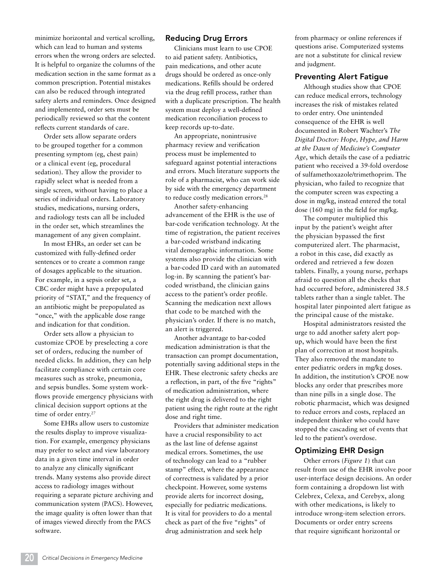minimize horizontal and vertical scrolling, which can lead to human and systems errors when the wrong orders are selected. It is helpful to organize the columns of the medication section in the same format as a common prescription. Potential mistakes can also be reduced through integrated safety alerts and reminders. Once designed and implemented, order sets must be periodically reviewed so that the content reflects current standards of care.

Order sets allow separate orders to be grouped together for a common presenting symptom (eg, chest pain) or a clinical event (eg, procedural sedation). They allow the provider to rapidly select what is needed from a single screen, without having to place a series of individual orders. Laboratory studies, medications, nursing orders, and radiology tests can all be included in the order set, which streamlines the management of any given complaint.

In most EHRs, an order set can be customized with fully-defined order sentences or to create a common range of dosages applicable to the situation. For example, in a sepsis order set, a CBC order might have a prepopulated priority of "STAT," and the frequency of an antibiotic might be prepopulated as "once," with the applicable dose range and indication for that condition.

Order sets allow a physician to customize CPOE by preselecting a core set of orders, reducing the number of needed clicks. In addition, they can help facilitate compliance with certain core measures such as stroke, pneumonia, and sepsis bundles. Some system workflows provide emergency physicians with clinical decision support options at the time of order entry.<sup>27</sup>

Some EHRs allow users to customize the results display to improve visualization. For example, emergency physicians may prefer to select and view laboratory data in a given time interval in order to analyze any clinically significant trends. Many systems also provide direct access to radiology images without requiring a separate picture archiving and communication system (PACS). However, the image quality is often lower than that of images viewed directly from the PACS software.

#### Reducing Drug Errors

Clinicians must learn to use CPOE to aid patient safety. Antibiotics, pain medications, and other acute drugs should be ordered as once-only medications. Refills should be ordered via the drug refill process, rather than with a duplicate prescription. The health system must deploy a well-defined medication reconciliation process to keep records up-to-date.

An appropriate, nonintrusive pharmacy review and verification process must be implemented to safeguard against potential interactions and errors. Much literature supports the role of a pharmacist, who can work side by side with the emergency department to reduce costly medication errors.<sup>28</sup>

Another safety-enhancing advancement of the EHR is the use of bar-code verification technology. At the time of registration, the patient receives a bar-coded wristband indicating vital demographic information. Some systems also provide the clinician with a bar-coded ID card with an automated log-in. By scanning the patient's barcoded wristband, the clinician gains access to the patient's order profile. Scanning the medication next allows that code to be matched with the physician's order. If there is no match, an alert is triggered.

Another advantage to bar-coded medication administration is that the transaction can prompt documentation, potentially saving additional steps in the EHR. These electronic safety checks are a reflection, in part, of the five "rights" of medication administration, where the right drug is delivered to the right patient using the right route at the right dose and right time.

Providers that administer medication have a crucial responsibility to act as the last line of defense against medical errors. Sometimes, the use of technology can lead to a "rubber stamp" effect, where the appearance of correctness is validated by a prior checkpoint. However, some systems provide alerts for incorrect dosing, especially for pediatric medications. It is vital for providers to do a mental check as part of the five "rights" of drug administration and seek help

from pharmacy or online references if questions arise. Computerized systems are not a substitute for clinical review and judgment.

#### Preventing Alert Fatigue

Although studies show that CPOE can reduce medical errors, technology increases the risk of mistakes related to order entry. One unintended consequence of the EHR is well documented in Robert Wachter's *The Digital Doctor: Hope, Hype, and Harm at the Dawn of Medicine's Computer Age*, which details the case of a pediatric patient who received a 39-fold overdose of sulfamethoxazole/trimethoprim. The physician, who failed to recognize that the computer screen was expecting a dose in mg/kg, instead entered the total dose (160 mg) in the field for mg/kg.

The computer multiplied this input by the patient's weight after the physician bypassed the first computerized alert. The pharmacist, a robot in this case, did exactly as ordered and retrieved a few dozen tablets. Finally, a young nurse, perhaps afraid to question all the checks that had occurred before, administered 38.5 tablets rather than a single tablet. The hospital later pinpointed alert fatigue as the principal cause of the mistake.

Hospital administrators resisted the urge to add another safety alert popup, which would have been the first plan of correction at most hospitals. They also removed the mandate to enter pediatric orders in mg/kg doses. In addition, the institution's CPOE now blocks any order that prescribes more than nine pills in a single dose. The robotic pharmacist, which was designed to reduce errors and costs, replaced an independent thinker who could have stopped the cascading set of events that led to the patient's overdose.

#### Optimizing EHR Design

Other errors (*Figure 1*) that can result from use of the EHR involve poor user-interface design decisions. An order form containing a dropdown list with Celebrex, Celexa, and Cerebyx, along with other medications, is likely to introduce wrong-item selection errors. Documents or order entry screens that require significant horizontal or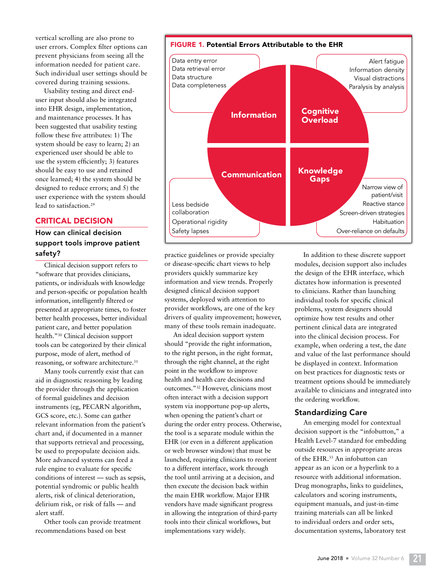vertical scrolling are also prone to user errors. Complex filter options can prevent physicians from seeing all the information needed for patient care. Such individual user settings should be covered during training sessions.

Usability testing and direct enduser input should also be integrated into EHR design, implementation, and maintenance processes. It has been suggested that usability testing follow these five attributes: 1) The system should be easy to learn; 2) an experienced user should be able to use the system efficiently; 3) features should be easy to use and retained once learned; 4) the system should be designed to reduce errors; and 5) the user experience with the system should lead to satisfaction.29

#### CRITICAL DECISION

#### How can clinical decision support tools improve patient safety?

Clinical decision support refers to "software that provides clinicians, patients, or individuals with knowledge and person-specific or population health information, intelligently filtered or presented at appropriate times, to foster better health processes, better individual patient care, and better population health."30 Clinical decision support tools can be categorized by their clinical purpose, mode of alert, method of reasoning, or software architecture.<sup>31</sup>

Many tools currently exist that can aid in diagnostic reasoning by leading the provider through the application of formal guidelines and decision instruments (eg, PECARN algorithm, GCS score, etc.). Some can gather relevant information from the patient's chart and, if documented in a manner that supports retrieval and processing, be used to prepopulate decision aids. More advanced systems can feed a rule engine to evaluate for specific conditions of interest — such as sepsis, potential syndromic or public health alerts, risk of clinical deterioration, delirium risk, or risk of falls — and alert staff.

Other tools can provide treatment recommendations based on best



practice guidelines or provide specialty or disease-specific chart views to help providers quickly summarize key information and view trends. Properly designed clinical decision support systems, deployed with attention to provider workflows, are one of the key drivers of quality improvement; however, many of these tools remain inadequate.

An ideal decision support system should "provide the right information, to the right person, in the right format, through the right channel, at the right point in the workflow to improve health and health care decisions and outcomes."32 However, clinicians most often interact with a decision support system via inopportune pop-up alerts, when opening the patient's chart or during the order entry process. Otherwise, the tool is a separate module within the EHR (or even in a different application or web browser window) that must be launched, requiring clinicians to reorient to a different interface, work through the tool until arriving at a decision, and then execute the decision back within the main EHR workflow. Major EHR vendors have made significant progress in allowing the integration of third-party tools into their clinical workflows, but implementations vary widely.

In addition to these discrete support modules, decision support also includes the design of the EHR interface, which dictates how information is presented to clinicians. Rather than launching individual tools for specific clinical problems, system designers should optimize how test results and other pertinent clinical data are integrated into the clinical decision process. For example, when ordering a test, the date and value of the last performance should be displayed in context. Information on best practices for diagnostic tests or treatment options should be immediately available to clinicians and integrated into the ordering workflow.

#### Standardizing Care

An emerging model for contextual decision support is the "infobutton," a Health Level-7 standard for embedding outside resources in appropriate areas of the EHR.33 An infobutton can appear as an icon or a hyperlink to a resource with additional information. Drug monographs, links to guidelines, calculators and scoring instruments, equipment manuals, and just-in-time training materials can all be linked to individual orders and order sets, documentation systems, laboratory test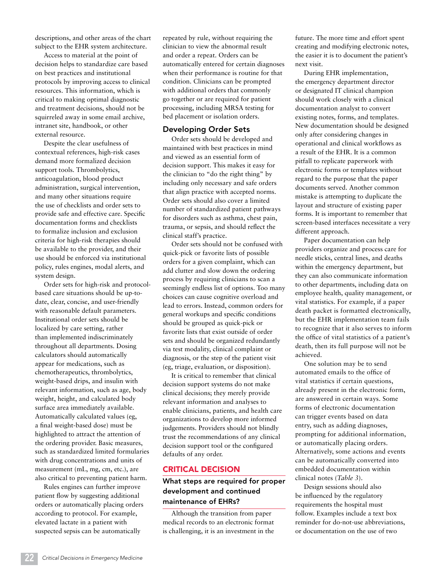descriptions, and other areas of the chart subject to the EHR system architecture.

Access to material at the point of decision helps to standardize care based on best practices and institutional protocols by improving access to clinical resources. This information, which is critical to making optimal diagnostic and treatment decisions, should not be squirreled away in some email archive, intranet site, handbook, or other external resource.

Despite the clear usefulness of contextual references, high-risk cases demand more formalized decision support tools. Thrombolytics, anticoagulation, blood product administration, surgical intervention, and many other situations require the use of checklists and order sets to provide safe and effective care. Specific documentation forms and checklists to formalize inclusion and exclusion criteria for high-risk therapies should be available to the provider, and their use should be enforced via institutional policy, rules engines, modal alerts, and system design.

Order sets for high-risk and protocolbased care situations should be up-todate, clear, concise, and user-friendly with reasonable default parameters. Institutional order sets should be localized by care setting, rather than implemented indiscriminately throughout all departments. Dosing calculators should automatically appear for medications, such as chemotherapeutics, thrombolytics, weight-based drips, and insulin with relevant information, such as age, body weight, height, and calculated body surface area immediately available. Automatically calculated values (eg, a final weight-based dose) must be highlighted to attract the attention of the ordering provider. Basic measures, such as standardized limited formularies with drug concentrations and units of measurement (mL, mg, cm, etc.), are also critical to preventing patient harm.

Rules engines can further improve patient flow by suggesting additional orders or automatically placing orders according to protocol. For example, elevated lactate in a patient with suspected sepsis can be automatically

repeated by rule, without requiring the clinician to view the abnormal result and order a repeat. Orders can be automatically entered for certain diagnoses when their performance is routine for that condition. Clinicians can be prompted with additional orders that commonly go together or are required for patient processing, including MRSA testing for bed placement or isolation orders.

#### Developing Order Sets

Order sets should be developed and maintained with best practices in mind and viewed as an essential form of decision support. This makes it easy for the clinician to "do the right thing" by including only necessary and safe orders that align practice with accepted norms. Order sets should also cover a limited number of standardized patient pathways for disorders such as asthma, chest pain, trauma, or sepsis, and should reflect the clinical staff's practice.

Order sets should not be confused with quick-pick or favorite lists of possible orders for a given complaint, which can add clutter and slow down the ordering process by requiring clinicians to scan a seemingly endless list of options. Too many choices can cause cognitive overload and lead to errors. Instead, common orders for general workups and specific conditions should be grouped as quick-pick or favorite lists that exist outside of order sets and should be organized redundantly via test modality, clinical complaint or diagnosis, or the step of the patient visit (eg, triage, evaluation, or disposition).

It is critical to remember that clinical decision support systems do not make clinical decisions; they merely provide relevant information and analyses to enable clinicians, patients, and health care organizations to develop more informed judgements. Providers should not blindly trust the recommendations of any clinical decision support tool or the configured defaults of any order.

#### CRITICAL DECISION

#### What steps are required for proper development and continued maintenance of EHRs?

Although the transition from paper medical records to an electronic format is challenging, it is an investment in the future. The more time and effort spent creating and modifying electronic notes, the easier it is to document the patient's next visit.

During EHR implementation, the emergency department director or designated IT clinical champion should work closely with a clinical documentation analyst to convert existing notes, forms, and templates. New documentation should be designed only after considering changes in operational and clinical workflows as a result of the EHR. It is a common pitfall to replicate paperwork with electronic forms or templates without regard to the purpose that the paper documents served. Another common mistake is attempting to duplicate the layout and structure of existing paper forms. It is important to remember that screen-based interfaces necessitate a very different approach.

Paper documentation can help providers organize and process care for needle sticks, central lines, and deaths within the emergency department, but they can also communicate information to other departments, including data on employee health, quality management, or vital statistics. For example, if a paper death packet is formatted electronically, but the EHR implementation team fails to recognize that it also serves to inform the office of vital statistics of a patient's death, then its full purpose will not be achieved.

One solution may be to send automated emails to the office of vital statistics if certain questions, already present in the electronic form, are answered in certain ways. Some forms of electronic documentation can trigger events based on data entry, such as adding diagnoses, prompting for additional information, or automatically placing orders. Alternatively, some actions and events can be automatically converted into embedded documentation within clinical notes (*Table 3*).

Design sessions should also be influenced by the regulatory requirements the hospital must follow. Examples include a text box reminder for do-not-use abbreviations, or documentation on the use of two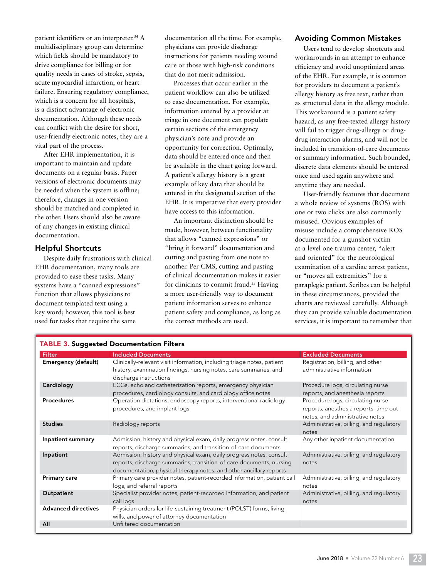patient identifiers or an interpreter.<sup>34</sup> A multidisciplinary group can determine which fields should be mandatory to drive compliance for billing or for quality needs in cases of stroke, sepsis, acute myocardial infarction, or heart failure. Ensuring regulatory compliance, which is a concern for all hospitals, is a distinct advantage of electronic documentation. Although these needs can conflict with the desire for short, user-friendly electronic notes, they are a vital part of the process.

After EHR implementation, it is important to maintain and update documents on a regular basis. Paper versions of electronic documents may be needed when the system is offline; therefore, changes in one version should be matched and completed in the other. Users should also be aware of any changes in existing clinical documentation.

#### Helpful Shortcuts

Despite daily frustrations with clinical EHR documentation, many tools are provided to ease these tasks. Many systems have a "canned expressions" function that allows physicians to document templated text using a key word; however, this tool is best used for tasks that require the same

documentation all the time. For example, physicians can provide discharge instructions for patients needing wound care or those with high-risk conditions that do not merit admission.

Processes that occur earlier in the patient workflow can also be utilized to ease documentation. For example, information entered by a provider at triage in one document can populate certain sections of the emergency physician's note and provide an opportunity for correction. Optimally, data should be entered once and then be available in the chart going forward. A patient's allergy history is a great example of key data that should be entered in the designated section of the EHR. It is imperative that every provider have access to this information.

An important distinction should be made, however, between functionality that allows "canned expressions" or "bring it forward" documentation and cutting and pasting from one note to another. Per CMS, cutting and pasting of clinical documentation makes it easier for clinicians to commit fraud.35 Having a more user-friendly way to document patient information serves to enhance patient safety and compliance, as long as the correct methods are used.

#### Avoiding Common Mistakes

Users tend to develop shortcuts and workarounds in an attempt to enhance efficiency and avoid unoptimized areas of the EHR. For example, it is common for providers to document a patient's allergy history as free text, rather than as structured data in the allergy module. This workaround is a patient safety hazard, as any free-texted allergy history will fail to trigger drug-allergy or drugdrug interaction alarms, and will not be included in transition-of-care documents or summary information. Such bounded, discrete data elements should be entered once and used again anywhere and anytime they are needed.

User-friendly features that document a whole review of systems (ROS) with one or two clicks are also commonly misused. Obvious examples of misuse include a comprehensive ROS documented for a gunshot victim at a level one trauma center, "alert and oriented" for the neurological examination of a cardiac arrest patient, or "moves all extremities" for a paraplegic patient. Scribes can be helpful in these circumstances, provided the charts are reviewed carefully. Although they can provide valuable documentation services, it is important to remember that

| <b>TABLE 3. Suggested Documentation Filters</b> |                                                                                                                                                                                                                  |                                                                                                               |  |
|-------------------------------------------------|------------------------------------------------------------------------------------------------------------------------------------------------------------------------------------------------------------------|---------------------------------------------------------------------------------------------------------------|--|
| <b>Filter</b>                                   | <b>Included Documents</b>                                                                                                                                                                                        | <b>Excluded Documents</b>                                                                                     |  |
| <b>Emergency (default)</b>                      | Clinically-relevant visit information, including triage notes, patient<br>history, examination findings, nursing notes, care summaries, and<br>discharge instructions                                            | Registration, billing, and other<br>administrative information                                                |  |
| Cardiology                                      | ECGs, echo and catheterization reports, emergency physician<br>procedures, cardiology consults, and cardiology office notes                                                                                      | Procedure logs, circulating nurse<br>reports, and anesthesia reports                                          |  |
| <b>Procedures</b>                               | Operation dictations, endoscopy reports, interventional radiology<br>procedures, and implant logs                                                                                                                | Procedure logs, circulating nurse<br>reports, anesthesia reports, time out<br>notes, and administrative notes |  |
| <b>Studies</b>                                  | Radiology reports                                                                                                                                                                                                | Administrative, billing, and regulatory<br>notes                                                              |  |
| Inpatient summary                               | Admission, history and physical exam, daily progress notes, consult<br>reports, discharge summaries, and transition-of-care documents                                                                            | Any other inpatient documentation                                                                             |  |
| Inpatient                                       | Admission, history and physical exam, daily progress notes, consult<br>reports, discharge summaries, transition-of-care documents, nursing<br>documentation, physical therapy notes, and other ancillary reports | Administrative, billing, and regulatory<br>notes                                                              |  |
| <b>Primary care</b>                             | Primary care provider notes, patient-recorded information, patient call<br>logs, and referral reports                                                                                                            | Administrative, billing, and regulatory<br>notes                                                              |  |
| Outpatient                                      | Specialist provider notes, patient-recorded information, and patient<br>call logs                                                                                                                                | Administrative, billing, and regulatory<br>notes                                                              |  |
| <b>Advanced directives</b>                      | Physician orders for life-sustaining treatment (POLST) forms, living<br>wills, and power of attorney documentation                                                                                               |                                                                                                               |  |
| All                                             | Unfiltered documentation                                                                                                                                                                                         |                                                                                                               |  |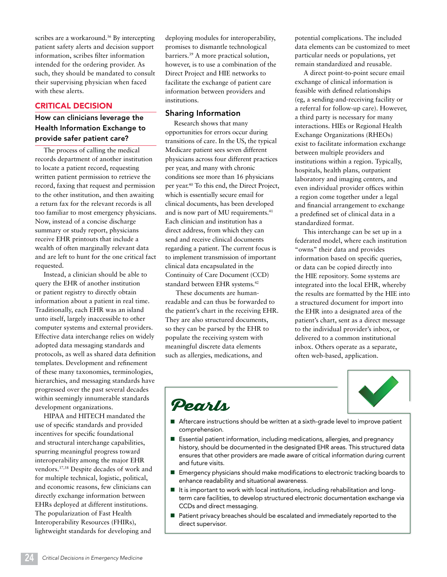scribes are a workaround.<sup>36</sup> By intercepting patient safety alerts and decision support information, scribes filter information intended for the ordering provider. As such, they should be mandated to consult their supervising physician when faced with these alerts.

#### CRITICAL DECISION

#### How can clinicians leverage the Health Information Exchange to provide safer patient care?

The process of calling the medical records department of another institution to locate a patient record, requesting written patient permission to retrieve the record, faxing that request and permission to the other institution, and then awaiting a return fax for the relevant records is all too familiar to most emergency physicians. Now, instead of a concise discharge summary or study report, physicians receive EHR printouts that include a wealth of often marginally relevant data and are left to hunt for the one critical fact requested.

Instead, a clinician should be able to query the EHR of another institution or patient registry to directly obtain information about a patient in real time. Traditionally, each EHR was an island unto itself, largely inaccessible to other computer systems and external providers. Effective data interchange relies on widely adopted data messaging standards and protocols, as well as shared data definition templates. Development and refinement of these many taxonomies, terminologies, hierarchies, and messaging standards have progressed over the past several decades within seemingly innumerable standards development organizations.

HIPAA and HITECH mandated the use of specific standards and provided incentives for specific foundational and structural interchange capabilities, spurring meaningful progress toward interoperability among the major EHR vendors.37,38 Despite decades of work and for multiple technical, logistic, political, and economic reasons, few clinicians can directly exchange information between EHRs deployed at different institutions. The popularization of Fast Health Interoperability Resources (FHIRs), lightweight standards for developing and

deploying modules for interoperability, promises to dismantle technological barriers.39 A more practical solution, however, is to use a combination of the Direct Project and HIE networks to facilitate the exchange of patient care information between providers and institutions.

#### Sharing Information

Research shows that many opportunities for errors occur during transitions of care. In the US, the typical Medicare patient sees seven different physicians across four different practices per year, and many with chronic conditions see more than 16 physicians per year.40 To this end, the Direct Project, which is essentially secure email for clinical documents, has been developed and is now part of MU requirements.<sup>41</sup> Each clinician and institution has a direct address, from which they can send and receive clinical documents regarding a patient. The current focus is to implement transmission of important clinical data encapsulated in the Continuity of Care Document (CCD) standard between EHR systems.<sup>42</sup>

 These documents are humanreadable and can thus be forwarded to the patient's chart in the receiving EHR. They are also structured documents, so they can be parsed by the EHR to populate the receiving system with meaningful discrete data elements such as allergies, medications, and

potential complications. The included data elements can be customized to meet particular needs or populations, yet remain standardized and reusable.

A direct point-to-point secure email exchange of clinical information is feasible with defined relationships (eg, a sending-and-receiving facility or a referral for follow-up care). However, a third party is necessary for many interactions. HIEs or Regional Health Exchange Organizations (RHEOs) exist to facilitate information exchange between multiple providers and institutions within a region. Typically, hospitals, health plans, outpatient laboratory and imaging centers, and even individual provider offices within a region come together under a legal and financial arrangement to exchange a predefined set of clinical data in a standardized format.

This interchange can be set up in a federated model, where each institution "owns" their data and provides information based on specific queries, or data can be copied directly into the HIE repository. Some systems are integrated into the local EHR, whereby the results are formatted by the HIE into a structured document for import into the EHR into a designated area of the patient's chart, sent as a direct message to the individual provider's inbox, or delivered to a common institutional inbox. Others operate as a separate, often web-based, application.



### Pearls

- Aftercare instructions should be written at a sixth-grade level to improve patient comprehension.
- Essential patient information, including medications, allergies, and pregnancy history, should be documented in the designated EHR areas. This structured data ensures that other providers are made aware of critical information during current and future visits.
- Emergency physicians should make modifications to electronic tracking boards to enhance readability and situational awareness.
- $\blacksquare$  It is important to work with local institutions, including rehabilitation and longterm care facilities, to develop structured electronic documentation exchange via CCDs and direct messaging.
- Patient privacy breaches should be escalated and immediately reported to the direct supervisor.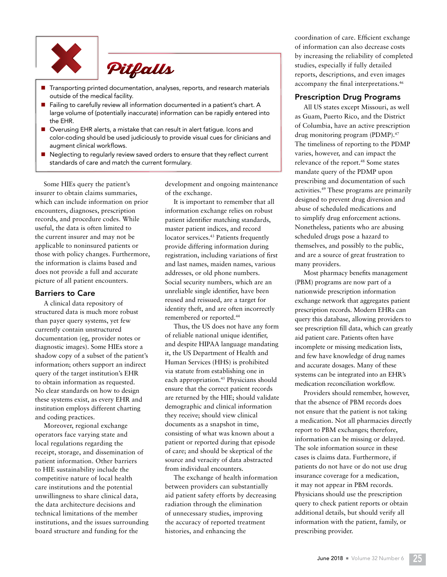



- Transporting printed documentation, analyses, reports, and research materials outside of the medical facility.
- Failing to carefully review all information documented in a patient's chart. A large volume of (potentially inaccurate) information can be rapidly entered into the EHR.
- Overusing EHR alerts, a mistake that can result in alert fatigue. Icons and color-coding should be used judiciously to provide visual cues for clinicians and augment clinical workflows.
- Neglecting to regularly review saved orders to ensure that they reflect current standards of care and match the current formulary.

Some HIEs query the patient's insurer to obtain claims summaries, which can include information on prior encounters, diagnoses, prescription records, and procedure codes. While useful, the data is often limited to the current insurer and may not be applicable to noninsured patients or those with policy changes. Furthermore, the information is claims based and does not provide a full and accurate picture of all patient encounters.

#### Barriers to Care

A clinical data repository of structured data is much more robust than payer query systems, yet few currently contain unstructured documentation (eg, provider notes or diagnostic images). Some HIEs store a shadow copy of a subset of the patient's information; others support an indirect query of the target institution's EHR to obtain information as requested. No clear standards on how to design these systems exist, as every EHR and institution employs different charting and coding practices.

Moreover, regional exchange operators face varying state and local regulations regarding the receipt, storage, and dissemination of patient information. Other barriers to HIE sustainability include the competitive nature of local health care institutions and the potential unwillingness to share clinical data, the data architecture decisions and technical limitations of the member institutions, and the issues surrounding board structure and funding for the

development and ongoing maintenance of the exchange.

It is important to remember that all information exchange relies on robust patient identifier matching standards, master patient indices, and record locator services.<sup>43</sup> Patients frequently provide differing information during registration, including variations of first and last names, maiden names, various addresses, or old phone numbers. Social security numbers, which are an unreliable single identifier, have been reused and reissued, are a target for identity theft, and are often incorrectly remembered or reported.44

Thus, the US does not have any form of reliable national unique identifier, and despite HIPAA language mandating it, the US Department of Health and Human Services (HHS) is prohibited via statute from establishing one in each appropriation.<sup>45</sup> Physicians should ensure that the correct patient records are returned by the HIE; should validate demographic and clinical information they receive; should view clinical documents as a snapshot in time, consisting of what was known about a patient or reported during that episode of care; and should be skeptical of the source and veracity of data abstracted from individual encounters.

The exchange of health information between providers can substantially aid patient safety efforts by decreasing radiation through the elimination of unnecessary studies, improving the accuracy of reported treatment histories, and enhancing the

coordination of care. Efficient exchange of information can also decrease costs by increasing the reliability of completed studies, especially if fully detailed reports, descriptions, and even images accompany the final interpretations.46

#### Prescription Drug Programs

All US states except Missouri, as well as Guam, Puerto Rico, and the District of Columbia, have an active prescription drug monitoring program (PDMP).47 The timeliness of reporting to the PDMP varies, however, and can impact the relevance of the report.<sup>48</sup> Some states mandate query of the PDMP upon prescribing and documentation of such activities.49 These programs are primarily designed to prevent drug diversion and abuse of scheduled medications and to simplify drug enforcement actions. Nonetheless, patients who are abusing scheduled drugs pose a hazard to themselves, and possibly to the public, and are a source of great frustration to many providers.

Most pharmacy benefits management (PBM) programs are now part of a nationwide prescription information exchange network that aggregates patient prescription records. Modern EHRs can query this database, allowing providers to see prescription fill data, which can greatly aid patient care. Patients often have incomplete or missing medication lists, and few have knowledge of drug names and accurate dosages. Many of these systems can be integrated into an EHR's medication reconciliation workflow.

Providers should remember, however, that the absence of PBM records does not ensure that the patient is not taking a medication. Not all pharmacies directly report to PBM exchanges; therefore, information can be missing or delayed. The sole information source in these cases is claims data. Furthermore, if patients do not have or do not use drug insurance coverage for a medication, it may not appear in PBM records. Physicians should use the prescription query to check patient reports or obtain additional details, but should verify all information with the patient, family, or prescribing provider.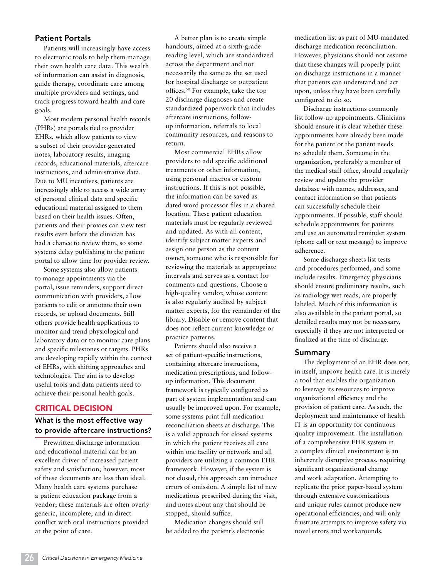#### Patient Portals

Patients will increasingly have access to electronic tools to help them manage their own health care data. This wealth of information can assist in diagnosis, guide therapy, coordinate care among multiple providers and settings, and track progress toward health and care goals.

Most modern personal health records (PHRs) are portals tied to provider EHRs, which allow patients to view a subset of their provider-generated notes, laboratory results, imaging records, educational materials, aftercare instructions, and administrative data. Due to MU incentives, patients are increasingly able to access a wide array of personal clinical data and specific educational material assigned to them based on their health issues. Often, patients and their proxies can view test results even before the clinician has had a chance to review them, so some systems delay publishing to the patient portal to allow time for provider review.

Some systems also allow patients to manage appointments via the portal, issue reminders, support direct communication with providers, allow patients to edit or annotate their own records, or upload documents. Still others provide health applications to monitor and trend physiological and laboratory data or to monitor care plans and specific milestones or targets. PHRs are developing rapidly within the context of EHRs, with shifting approaches and technologies. The aim is to develop useful tools and data patients need to achieve their personal health goals.

#### CRITICAL DECISION

#### What is the most effective way to provide aftercare instructions?

Prewritten discharge information and educational material can be an excellent driver of increased patient safety and satisfaction; however, most of these documents are less than ideal. Many health care systems purchase a patient education package from a vendor; these materials are often overly generic, incomplete, and in direct conflict with oral instructions provided at the point of care.

A better plan is to create simple handouts, aimed at a sixth-grade reading level, which are standardized across the department and not necessarily the same as the set used for hospital discharge or outpatient offices.50 For example, take the top 20 discharge diagnoses and create standardized paperwork that includes aftercare instructions, followup information, referrals to local community resources, and reasons to return.

Most commercial EHRs allow providers to add specific additional treatments or other information, using personal macros or custom instructions. If this is not possible, the information can be saved as dated word processor files in a shared location. These patient education materials must be regularly reviewed and updated. As with all content, identify subject matter experts and assign one person as the content owner, someone who is responsible for reviewing the materials at appropriate intervals and serves as a contact for comments and questions. Choose a high-quality vendor, whose content is also regularly audited by subject matter experts, for the remainder of the library. Disable or remove content that does not reflect current knowledge or practice patterns.

Patients should also receive a set of patient-specific instructions, containing aftercare instructions, medication prescriptions, and followup information. This document framework is typically configured as part of system implementation and can usually be improved upon. For example, some systems print full medication reconciliation sheets at discharge. This is a valid approach for closed systems in which the patient receives all care within one facility or network and all providers are utilizing a common EHR framework. However, if the system is not closed, this approach can introduce errors of omission. A simple list of new medications prescribed during the visit, and notes about any that should be stopped, should suffice.

Medication changes should still be added to the patient's electronic medication list as part of MU-mandated discharge medication reconciliation. However, physicians should not assume that these changes will properly print on discharge instructions in a manner that patients can understand and act upon, unless they have been carefully configured to do so.

Discharge instructions commonly list follow-up appointments. Clinicians should ensure it is clear whether these appointments have already been made for the patient or the patient needs to schedule them. Someone in the organization, preferably a member of the medical staff office, should regularly review and update the provider database with names, addresses, and contact information so that patients can successfully schedule their appointments. If possible, staff should schedule appointments for patients and use an automated reminder system (phone call or text message) to improve adherence.

Some discharge sheets list tests and procedures performed, and some include results. Emergency physicians should ensure preliminary results, such as radiology wet reads, are properly labeled. Much of this information is also available in the patient portal, so detailed results may not be necessary, especially if they are not interpreted or finalized at the time of discharge.

#### Summary

The deployment of an EHR does not, in itself, improve health care. It is merely a tool that enables the organization to leverage its resources to improve organizational efficiency and the provision of patient care. As such, the deployment and maintenance of health IT is an opportunity for continuous quality improvement. The installation of a comprehensive EHR system in a complex clinical environment is an inherently disruptive process, requiring significant organizational change and work adaptation. Attempting to replicate the prior paper-based system through extensive customizations and unique rules cannot produce new operational efficiencies, and will only frustrate attempts to improve safety via novel errors and workarounds.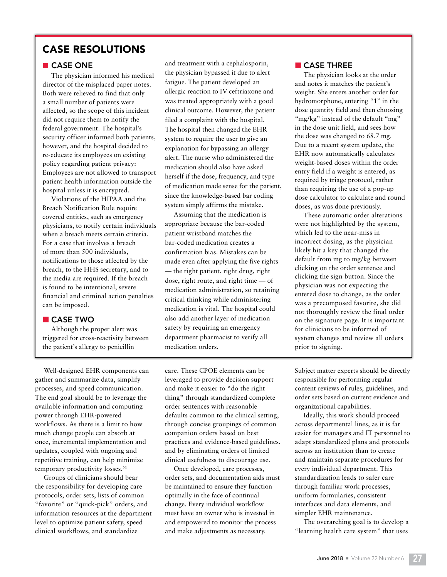#### CASE RESOLUTIONS

#### ■ CASE ONE

The physician informed his medical director of the misplaced paper notes. Both were relieved to find that only a small number of patients were affected, so the scope of this incident did not require them to notify the federal government. The hospital's security officer informed both patients, however, and the hospital decided to re-educate its employees on existing policy regarding patient privacy: Employees are not allowed to transport patient health information outside the hospital unless it is encrypted.

Violations of the HIPAA and the Breach Notification Rule require covered entities, such as emergency physicians, to notify certain individuals when a breach meets certain criteria. For a case that involves a breach of more than 500 individuals, notifications to those affected by the breach, to the HHS secretary, and to the media are required. If the breach is found to be intentional, severe financial and criminal action penalties can be imposed.

#### ■ CASE TWO

Although the proper alert was triggered for cross-reactivity between the patient's allergy to penicillin

and treatment with a cephalosporin, the physician bypassed it due to alert fatigue. The patient developed an allergic reaction to IV ceftriaxone and was treated appropriately with a good clinical outcome. However, the patient filed a complaint with the hospital. The hospital then changed the EHR system to require the user to give an explanation for bypassing an allergy alert. The nurse who administered the medication should also have asked herself if the dose, frequency, and type of medication made sense for the patient, since the knowledge-based bar coding system simply affirms the mistake.

Assuming that the medication is appropriate because the bar-coded patient wristband matches the bar-coded medication creates a confirmation bias. Mistakes can be made even after applying the five rights — the right patient, right drug, right dose, right route, and right time — of medication administration, so retaining critical thinking while administering medication is vital. The hospital could also add another layer of medication safety by requiring an emergency department pharmacist to verify all medication orders.

Well-designed EHR components can gather and summarize data, simplify processes, and speed communication. The end goal should be to leverage the available information and computing power through EHR-powered workflows. As there is a limit to how much change people can absorb at once, incremental implementation and updates, coupled with ongoing and repetitive training, can help minimize temporary productivity losses.<sup>51</sup>

Groups of clinicians should bear the responsibility for developing care protocols, order sets, lists of common "favorite" or "quick-pick" orders, and information resources at the department level to optimize patient safety, speed clinical workflows, and standardize

care. These CPOE elements can be leveraged to provide decision support and make it easier to "do the right thing" through standardized complete order sentences with reasonable defaults common to the clinical setting, through concise groupings of common companion orders based on best practices and evidence-based guidelines, and by eliminating orders of limited clinical usefulness to discourage use.

Once developed, care processes, order sets, and documentation aids must be maintained to ensure they function optimally in the face of continual change. Every individual workflow must have an owner who is invested in and empowered to monitor the process and make adjustments as necessary.

#### ■ CASE THREE

The physician looks at the order and notes it matches the patient's weight. She enters another order for hydromorphone, entering "1" in the dose quantity field and then choosing "mg/kg" instead of the default "mg" in the dose unit field, and sees how the dose was changed to 68.7 mg. Due to a recent system update, the EHR now automatically calculates weight-based doses within the order entry field if a weight is entered, as required by triage protocol, rather than requiring the use of a pop-up dose calculator to calculate and round doses, as was done previously.

These automatic order alterations were not highlighted by the system, which led to the near-miss in incorrect dosing, as the physician likely hit a key that changed the default from mg to mg/kg between clicking on the order sentence and clicking the sign button. Since the physician was not expecting the entered dose to change, as the order was a precomposed favorite, she did not thoroughly review the final order on the signature page. It is important for clinicians to be informed of system changes and review all orders prior to signing.

Subject matter experts should be directly responsible for performing regular content reviews of rules, guidelines, and order sets based on current evidence and organizational capabilities.

Ideally, this work should proceed across departmental lines, as it is far easier for managers and IT personnel to adapt standardized plans and protocols across an institution than to create and maintain separate procedures for every individual department. This standardization leads to safer care through familiar work processes, uniform formularies, consistent interfaces and data elements, and simpler EHR maintenance.

The overarching goal is to develop a "learning health care system" that uses